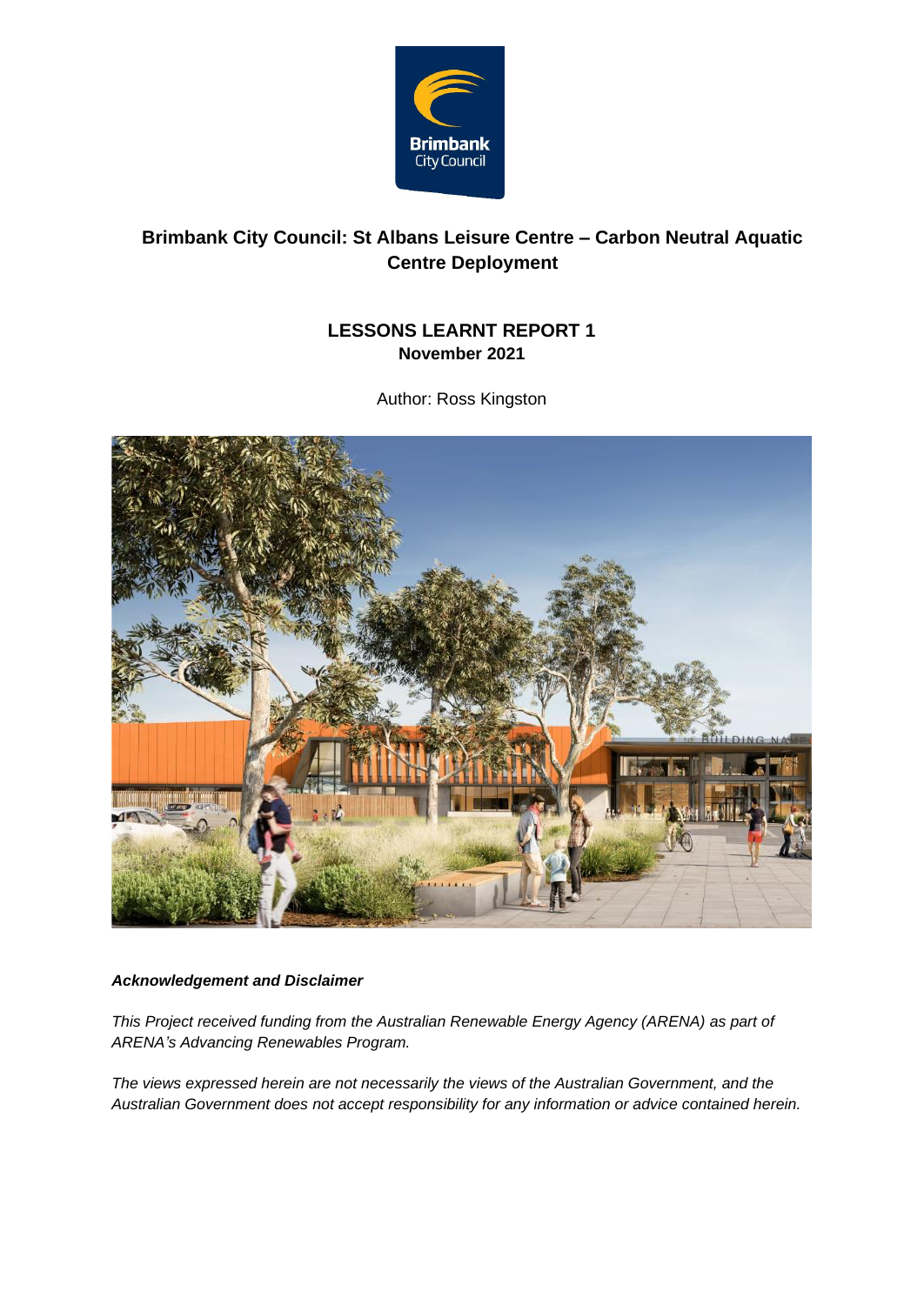

### **Brimbank City Council: St Albans Leisure Centre – Carbon Neutral Aquatic Centre Deployment**

#### **LESSONS LEARNT REPORT 1 November 2021**

Author: Ross Kingston



#### *Acknowledgement and Disclaimer*

*This Project received funding from the Australian Renewable Energy Agency (ARENA) as part of ARENA's Advancing Renewables Program.* 

*The views expressed herein are not necessarily the views of the Australian Government, and the Australian Government does not accept responsibility for any information or advice contained herein.*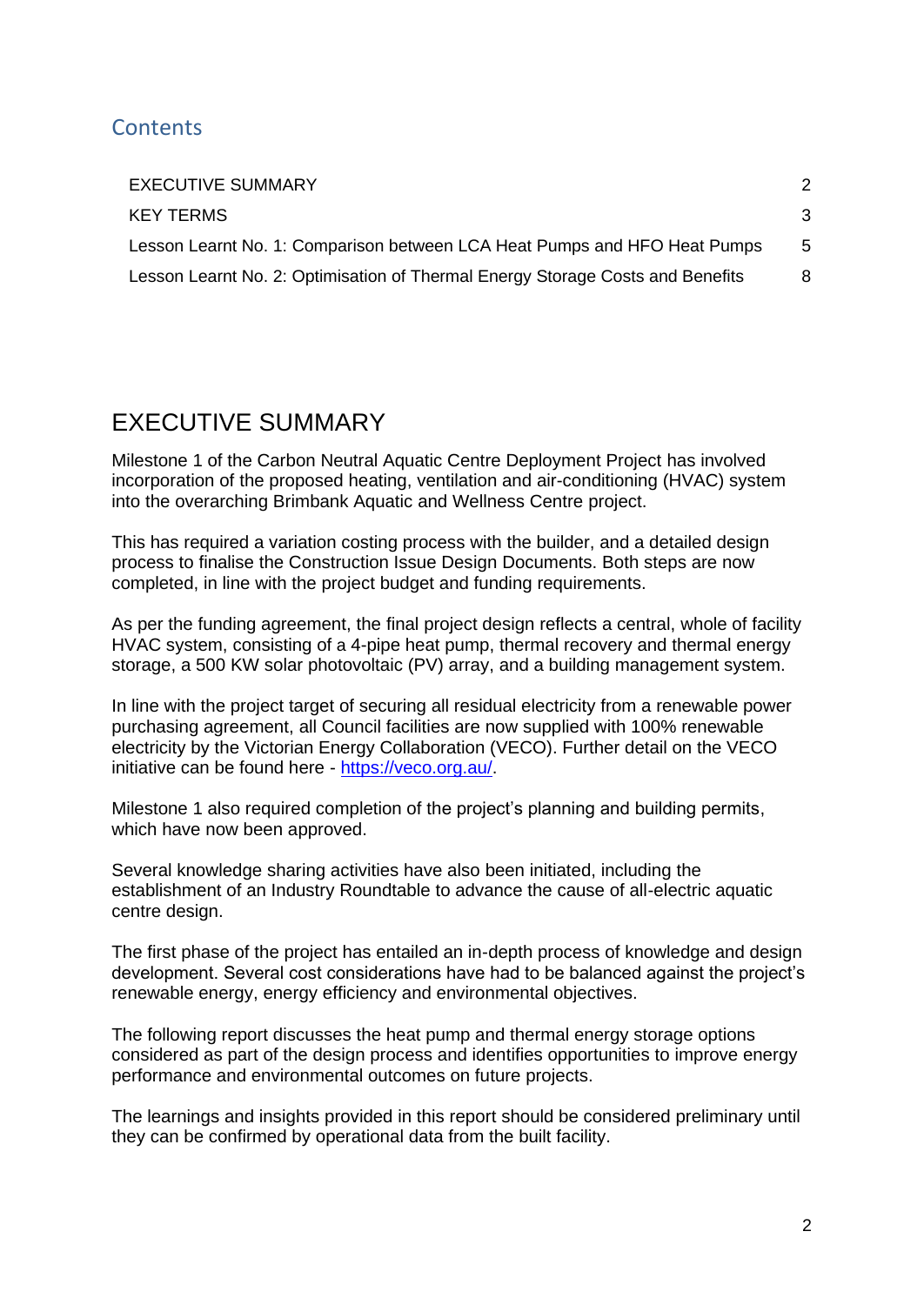### **Contents**

| <b>EXECUTIVE SUMMARY</b>                                                       |   |
|--------------------------------------------------------------------------------|---|
| <b>KEY TERMS</b>                                                               | 3 |
| Lesson Learnt No. 1: Comparison between LCA Heat Pumps and HFO Heat Pumps      | 5 |
| Lesson Learnt No. 2: Optimisation of Thermal Energy Storage Costs and Benefits | 8 |

## <span id="page-1-0"></span>EXECUTIVE SUMMARY

Milestone 1 of the Carbon Neutral Aquatic Centre Deployment Project has involved incorporation of the proposed heating, ventilation and air-conditioning (HVAC) system into the overarching Brimbank Aquatic and Wellness Centre project.

This has required a variation costing process with the builder, and a detailed design process to finalise the Construction Issue Design Documents. Both steps are now completed, in line with the project budget and funding requirements.

As per the funding agreement, the final project design reflects a central, whole of facility HVAC system, consisting of a 4-pipe heat pump, thermal recovery and thermal energy storage, a 500 KW solar photovoltaic (PV) array, and a building management system.

In line with the project target of securing all residual electricity from a renewable power purchasing agreement, all Council facilities are now supplied with 100% renewable electricity by the Victorian Energy Collaboration (VECO). Further detail on the VECO initiative can be found here - [https://veco.org.au/.](https://veco.org.au/)

Milestone 1 also required completion of the project's planning and building permits, which have now been approved.

Several knowledge sharing activities have also been initiated, including the establishment of an Industry Roundtable to advance the cause of all-electric aquatic centre design.

The first phase of the project has entailed an in-depth process of knowledge and design development. Several cost considerations have had to be balanced against the project's renewable energy, energy efficiency and environmental objectives.

The following report discusses the heat pump and thermal energy storage options considered as part of the design process and identifies opportunities to improve energy performance and environmental outcomes on future projects.

The learnings and insights provided in this report should be considered preliminary until they can be confirmed by operational data from the built facility.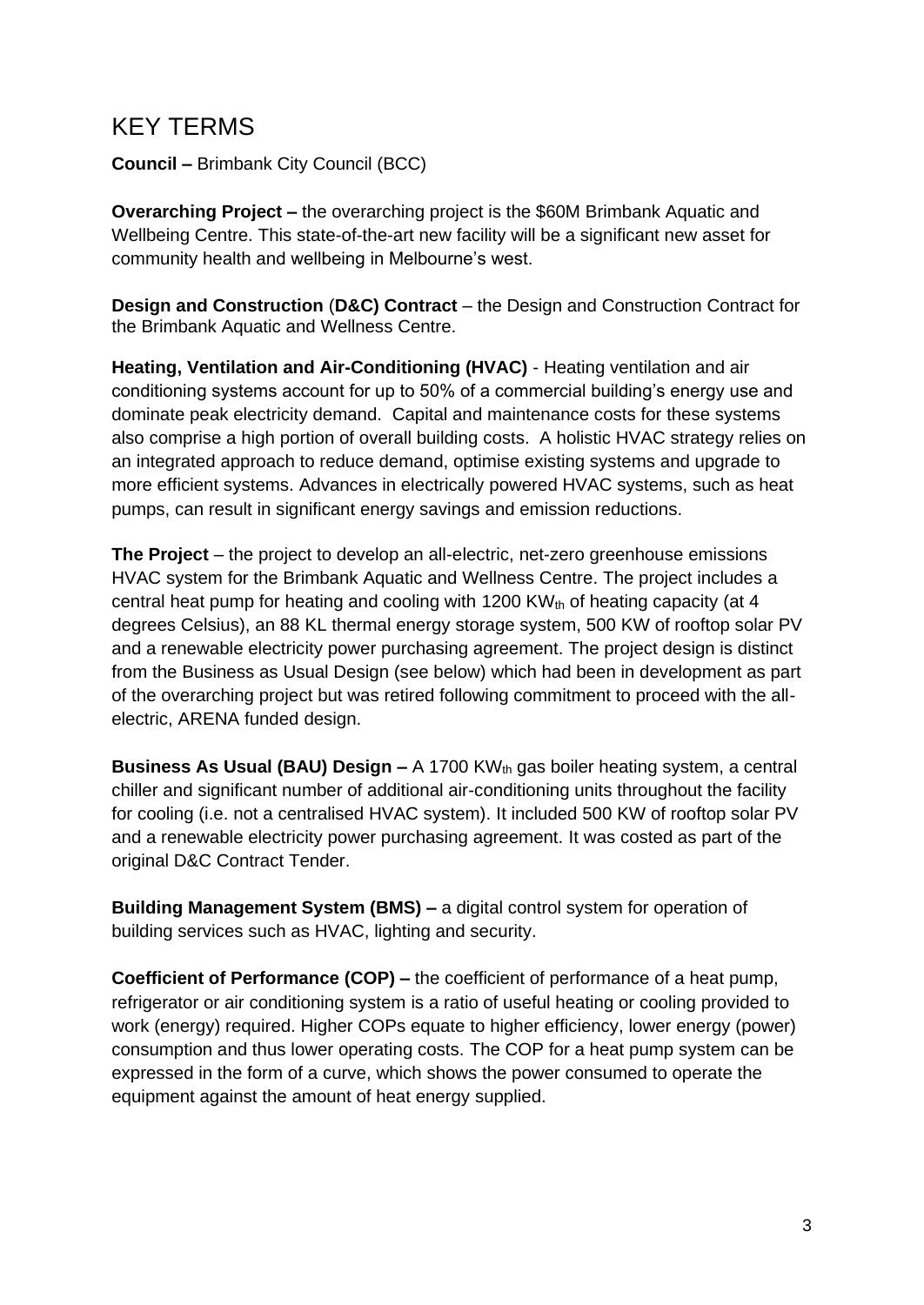## <span id="page-2-0"></span>KEY TERMS

**Council –** Brimbank City Council (BCC)

**Overarching Project –** the overarching project is the \$60M Brimbank Aquatic and Wellbeing Centre. This state-of-the-art new facility will be a significant new asset for community health and wellbeing in Melbourne's west.

**Design and Construction** (**D&C) Contract** – the Design and Construction Contract for the Brimbank Aquatic and Wellness Centre.

**Heating, Ventilation and Air-Conditioning (HVAC)** - Heating ventilation and air conditioning systems account for up to 50% of a commercial building's energy use and dominate peak electricity demand. Capital and maintenance costs for these systems also comprise a high portion of overall building costs. A holistic HVAC strategy relies on an integrated approach to reduce demand, optimise existing systems and upgrade to more efficient systems. Advances in electrically powered HVAC systems, such as heat pumps, can result in significant energy savings and emission reductions.

**The Project** – the project to develop an all-electric, net-zero greenhouse emissions HVAC system for the Brimbank Aquatic and Wellness Centre. The project includes a central heat pump for heating and cooling with 1200 KW $_{th}$  of heating capacity (at 4 degrees Celsius), an 88 KL thermal energy storage system, 500 KW of rooftop solar PV and a renewable electricity power purchasing agreement. The project design is distinct from the Business as Usual Design (see below) which had been in development as part of the overarching project but was retired following commitment to proceed with the allelectric, ARENA funded design.

**Business As Usual (BAU) Design –** A 1700 KW<sub>th</sub> gas boiler heating system, a central chiller and significant number of additional air-conditioning units throughout the facility for cooling (i.e. not a centralised HVAC system). It included 500 KW of rooftop solar PV and a renewable electricity power purchasing agreement. It was costed as part of the original D&C Contract Tender.

**Building Management System (BMS) –** a digital control system for operation of building services such as HVAC, lighting and security.

**Coefficient of Performance (COP) –** the coefficient of performance of a [heat pump,](https://en.wikipedia.org/wiki/Heat_pump_and_refrigeration_cycle)  [refrigerator or air conditioning system](https://en.wikipedia.org/wiki/Heat_pump_and_refrigeration_cycle) is a ratio of useful heating or cooling provided to work (energy) required. Higher COPs equate to higher efficiency, lower energy (power) consumption and thus lower operating costs. The COP for a heat pump system can be expressed in the form of a curve, which shows the power consumed to operate the equipment against the amount of heat energy supplied.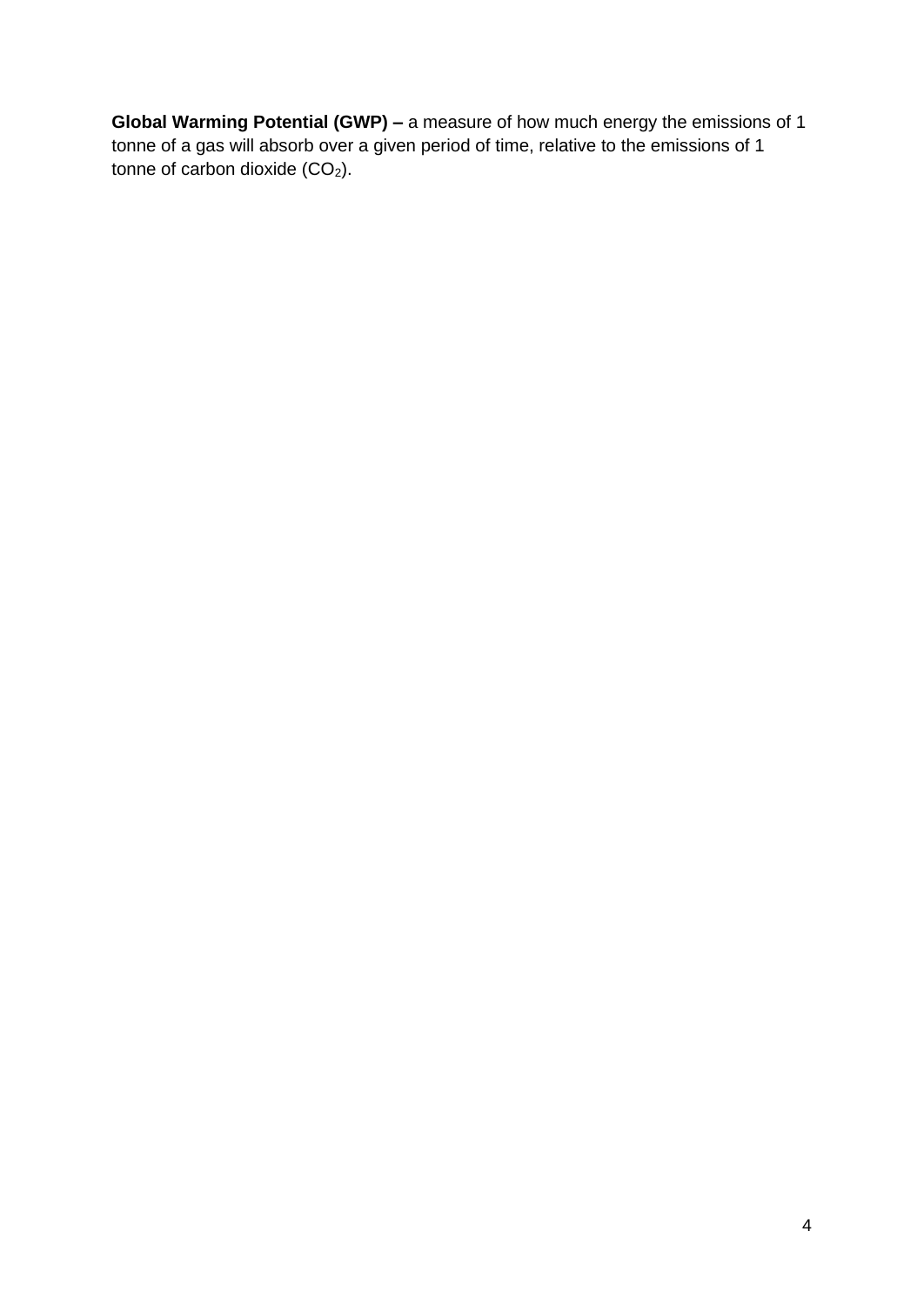**Global Warming Potential (GWP) –** a measure of how much energy the emissions of 1 tonne of a gas will absorb over a given period of time, relative to the emissions of 1 tonne of carbon dioxide  $(CO<sub>2</sub>)$ .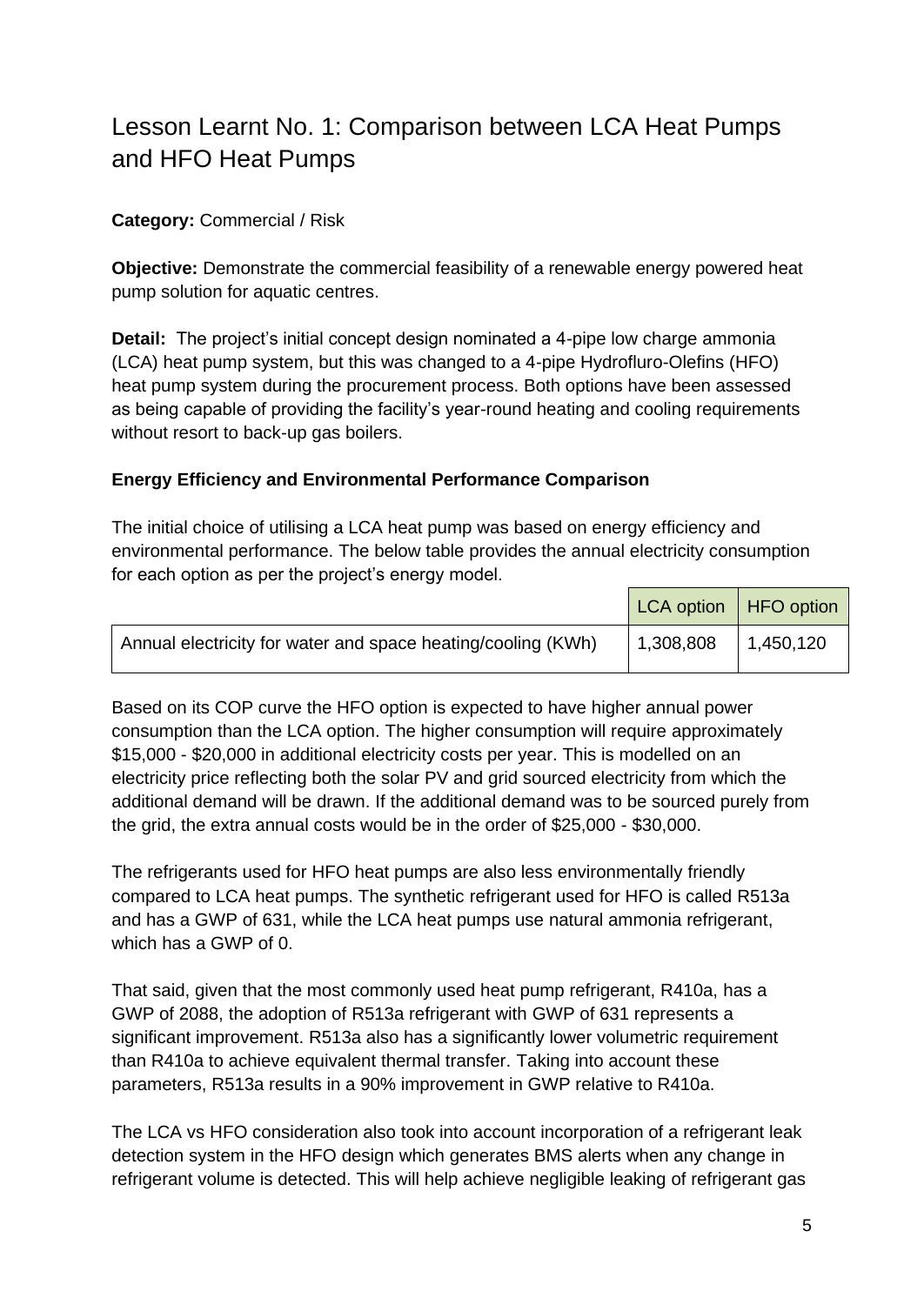# <span id="page-4-0"></span>Lesson Learnt No. 1: Comparison between LCA Heat Pumps and HFO Heat Pumps

#### **Category:** Commercial / Risk

**Objective:** Demonstrate the commercial feasibility of a renewable energy powered heat pump solution for aquatic centres.

**Detail:** The project's initial concept design nominated a 4-pipe low charge ammonia (LCA) heat pump system, but this was changed to a 4-pipe Hydrofluro-Olefins (HFO) heat pump system during the procurement process. Both options have been assessed as being capable of providing the facility's year-round heating and cooling requirements without resort to back-up gas boilers.

#### **Energy Efficiency and Environmental Performance Comparison**

The initial choice of utilising a LCA heat pump was based on energy efficiency and environmental performance. The below table provides the annual electricity consumption for each option as per the project's energy model.

|                                                              | LCA option   HFO option |           |
|--------------------------------------------------------------|-------------------------|-----------|
| Annual electricity for water and space heating/cooling (KWh) | 1,308,808               | 1,450,120 |

Based on its COP curve the HFO option is expected to have higher annual power consumption than the LCA option. The higher consumption will require approximately \$15,000 - \$20,000 in additional electricity costs per year. This is modelled on an electricity price reflecting both the solar PV and grid sourced electricity from which the additional demand will be drawn. If the additional demand was to be sourced purely from the grid, the extra annual costs would be in the order of \$25,000 - \$30,000.

The refrigerants used for HFO heat pumps are also less environmentally friendly compared to LCA heat pumps. The synthetic refrigerant used for HFO is called R513a and has a GWP of 631, while the LCA heat pumps use natural ammonia refrigerant, which has a GWP of 0.

That said, given that the most commonly used heat pump refrigerant, R410a, has a GWP of 2088, the adoption of R513a refrigerant with GWP of 631 represents a significant improvement. R513a also has a significantly lower volumetric requirement than R410a to achieve equivalent thermal transfer. Taking into account these parameters, R513a results in a 90% improvement in GWP relative to R410a.

The LCA vs HFO consideration also took into account incorporation of a refrigerant leak detection system in the HFO design which generates BMS alerts when any change in refrigerant volume is detected. This will help achieve negligible leaking of refrigerant gas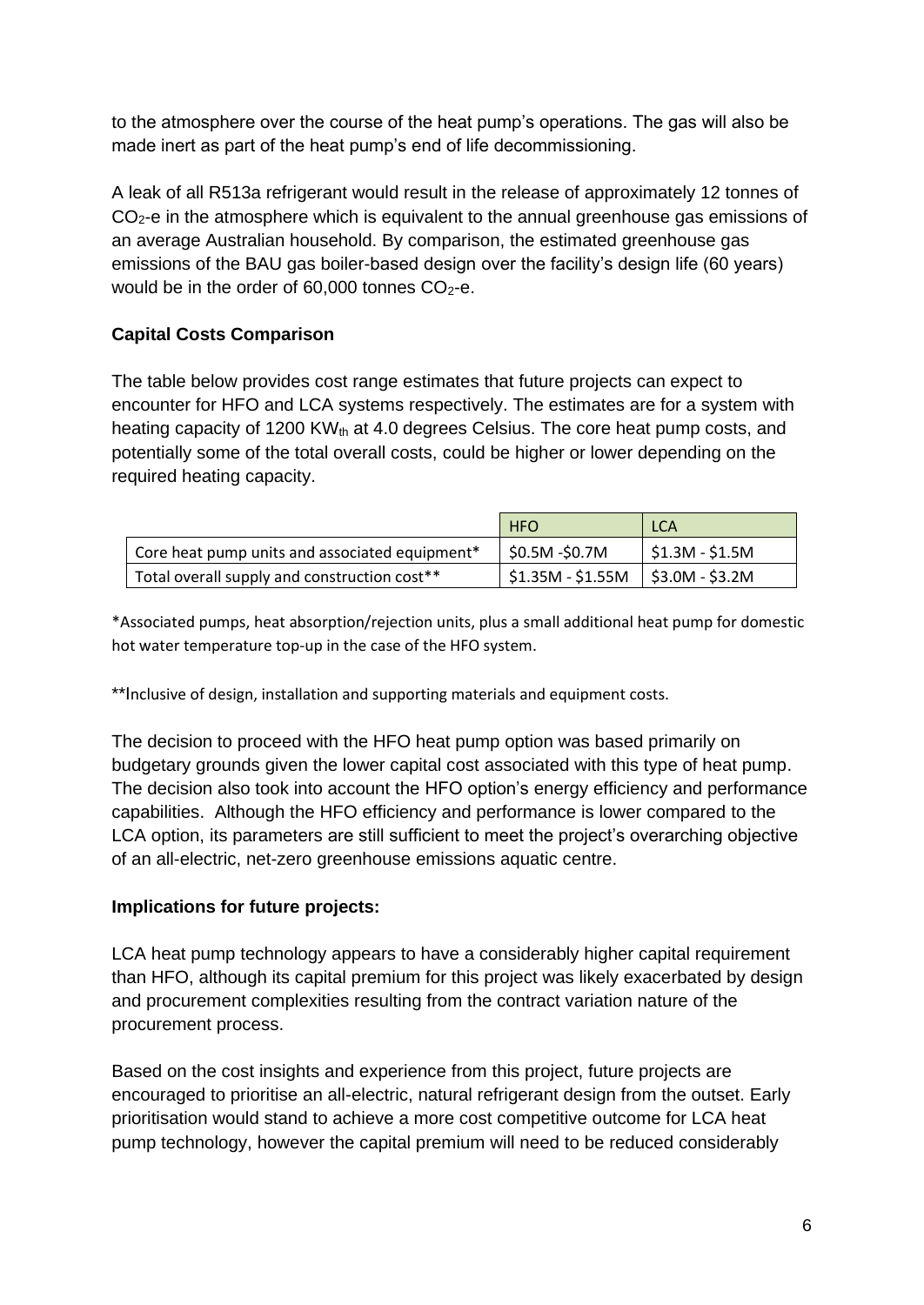to the atmosphere over the course of the heat pump's operations. The gas will also be made inert as part of the heat pump's end of life decommissioning.

A leak of all R513a refrigerant would result in the release of approximately 12 tonnes of CO2-e in the atmosphere which is equivalent to the annual greenhouse gas emissions of an average Australian household. By comparison, the estimated greenhouse gas emissions of the BAU gas boiler-based design over the facility's design life (60 years) would be in the order of  $60,000$  tonnes  $CO<sub>2</sub>$ -e.

#### **Capital Costs Comparison**

The table below provides cost range estimates that future projects can expect to encounter for HFO and LCA systems respectively. The estimates are for a system with heating capacity of 1200 KW $_{th}$  at 4.0 degrees Celsius. The core heat pump costs, and potentially some of the total overall costs, could be higher or lower depending on the required heating capacity.

|                                                | <b>HFO</b>                                        | <b>LCA</b>             |
|------------------------------------------------|---------------------------------------------------|------------------------|
| Core heat pump units and associated equipment* | \$0.5M -\$0.7M                                    | $\mid$ \$1.3M - \$1.5M |
| Total overall supply and construction cost**   | $\vert$ \$1.35M - \$1.55M $\vert$ \$3.0M - \$3.2M |                        |

\*Associated pumps, heat absorption/rejection units, plus a small additional heat pump for domestic hot water temperature top-up in the case of the HFO system.

\*\*Inclusive of design, installation and supporting materials and equipment costs.

The decision to proceed with the HFO heat pump option was based primarily on budgetary grounds given the lower capital cost associated with this type of heat pump. The decision also took into account the HFO option's energy efficiency and performance capabilities. Although the HFO efficiency and performance is lower compared to the LCA option, its parameters are still sufficient to meet the project's overarching objective of an all-electric, net-zero greenhouse emissions aquatic centre.

#### **Implications for future projects:**

LCA heat pump technology appears to have a considerably higher capital requirement than HFO, although its capital premium for this project was likely exacerbated by design and procurement complexities resulting from the contract variation nature of the procurement process.

Based on the cost insights and experience from this project, future projects are encouraged to prioritise an all-electric, natural refrigerant design from the outset. Early prioritisation would stand to achieve a more cost competitive outcome for LCA heat pump technology, however the capital premium will need to be reduced considerably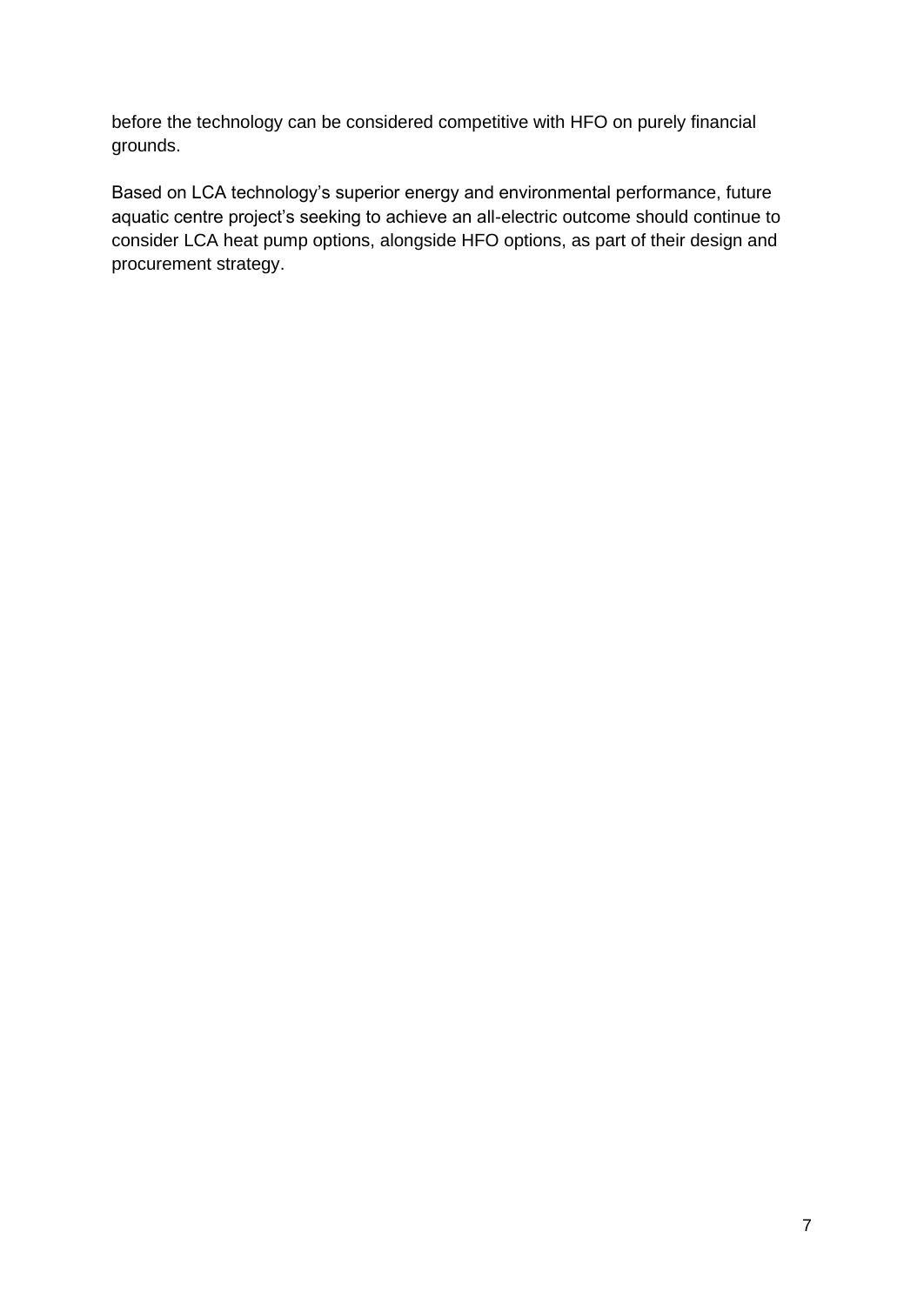before the technology can be considered competitive with HFO on purely financial grounds.

Based on LCA technology's superior energy and environmental performance, future aquatic centre project's seeking to achieve an all-electric outcome should continue to consider LCA heat pump options, alongside HFO options, as part of their design and procurement strategy.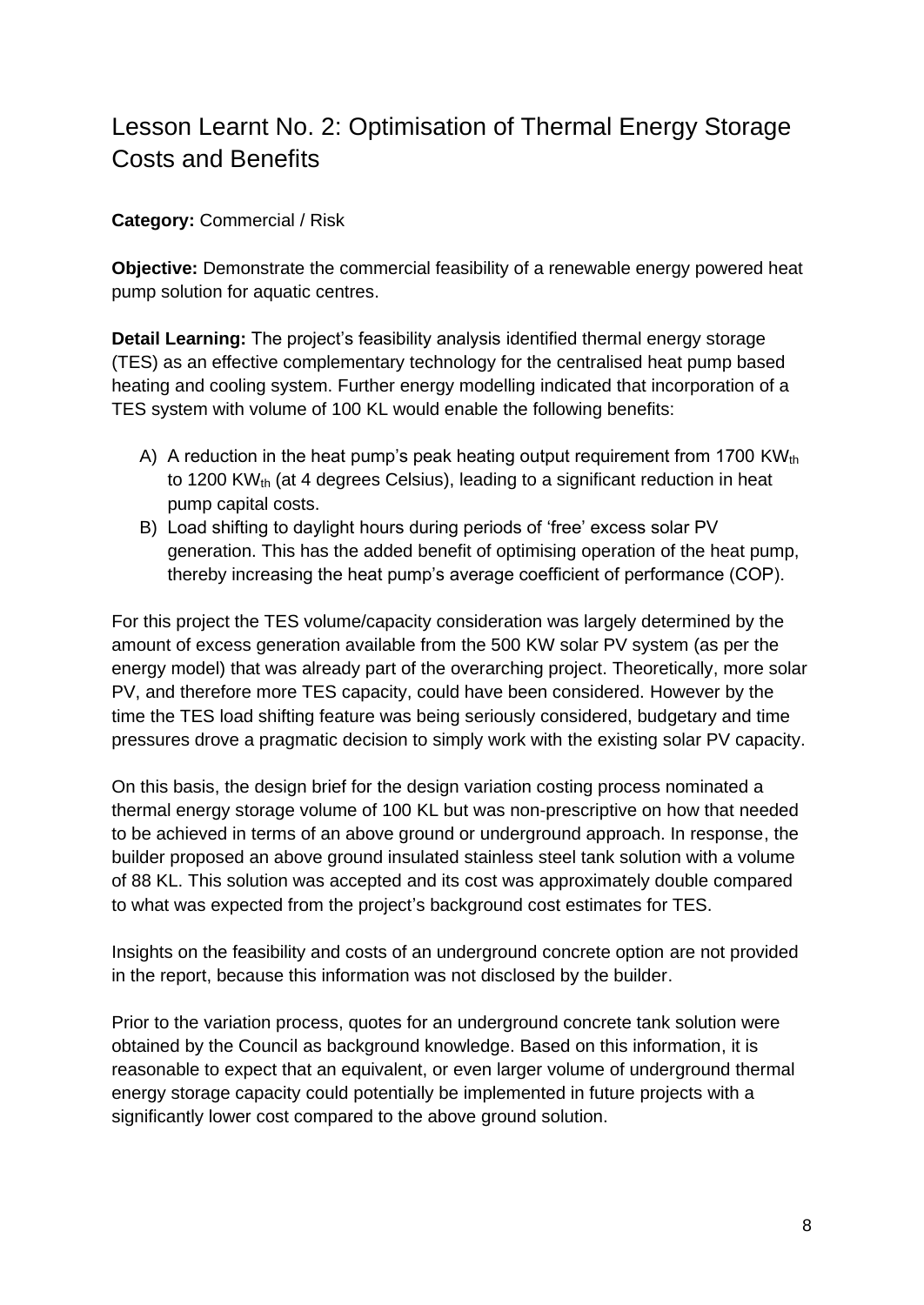# <span id="page-7-0"></span>Lesson Learnt No. 2: Optimisation of Thermal Energy Storage Costs and Benefits

#### **Category:** Commercial / Risk

**Objective:** Demonstrate the commercial feasibility of a renewable energy powered heat pump solution for aquatic centres.

**Detail Learning:** The project's feasibility analysis identified thermal energy storage (TES) as an effective complementary technology for the centralised heat pump based heating and cooling system. Further energy modelling indicated that incorporation of a TES system with volume of 100 KL would enable the following benefits:

- A) A reduction in the heat pump's peak heating output requirement from 1700 KW<sub>th</sub> to 1200 KW<sub>th</sub> (at 4 degrees Celsius), leading to a significant reduction in heat pump capital costs.
- B) Load shifting to daylight hours during periods of 'free' excess solar PV generation. This has the added benefit of optimising operation of the heat pump, thereby increasing the heat pump's average coefficient of performance (COP).

For this project the TES volume/capacity consideration was largely determined by the amount of excess generation available from the 500 KW solar PV system (as per the energy model) that was already part of the overarching project. Theoretically, more solar PV, and therefore more TES capacity, could have been considered. However by the time the TES load shifting feature was being seriously considered, budgetary and time pressures drove a pragmatic decision to simply work with the existing solar PV capacity.

On this basis, the design brief for the design variation costing process nominated a thermal energy storage volume of 100 KL but was non-prescriptive on how that needed to be achieved in terms of an above ground or underground approach. In response, the builder proposed an above ground insulated stainless steel tank solution with a volume of 88 KL. This solution was accepted and its cost was approximately double compared to what was expected from the project's background cost estimates for TES.

Insights on the feasibility and costs of an underground concrete option are not provided in the report, because this information was not disclosed by the builder.

Prior to the variation process, quotes for an underground concrete tank solution were obtained by the Council as background knowledge. Based on this information, it is reasonable to expect that an equivalent, or even larger volume of underground thermal energy storage capacity could potentially be implemented in future projects with a significantly lower cost compared to the above ground solution.